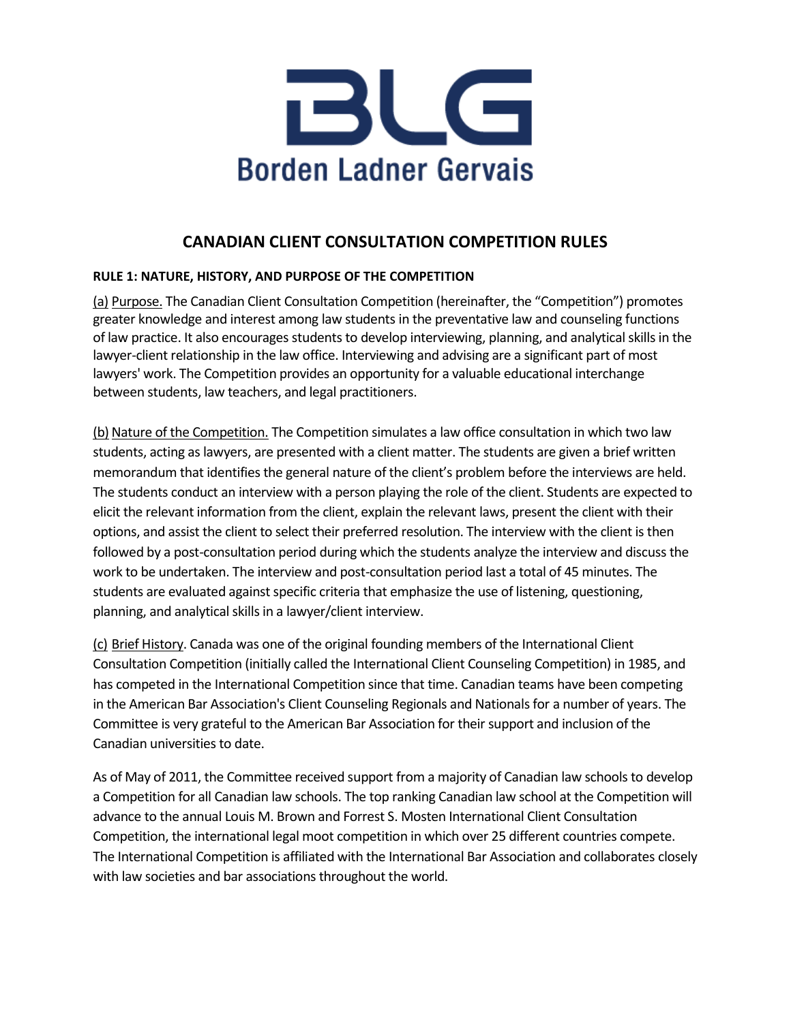

# **CANADIAN CLIENT CONSULTATION COMPETITION RULES**

# **RULE 1: NATURE, HISTORY, AND PURPOSE OF THE COMPETITION**

(a) Purpose. The Canadian Client Consultation Competition (hereinafter, the "Competition") promotes greater knowledge and interest among law students in the preventative law and counseling functions of law practice. It also encourages students to develop interviewing, planning, and analytical skills in the lawyer-client relationship in the law office. Interviewing and advising are a significant part of most lawyers' work. The Competition provides an opportunity for a valuable educational interchange between students, law teachers, and legal practitioners.

(b) Nature of the Competition. The Competition simulates a law office consultation in which two law students, acting as lawyers, are presented with a client matter. The students are given a brief written memorandum that identifies the general nature of the client's problem before the interviews are held. The students conduct an interview with a person playing the role of the client. Students are expected to elicit the relevant information from the client, explain the relevant laws, present the client with their options, and assist the client to select their preferred resolution. The interview with the client is then followed by a post-consultation period during which the students analyze the interview and discuss the work to be undertaken. The interview and post-consultation period last a total of 45 minutes. The students are evaluated against specific criteria that emphasize the use of listening, questioning, planning, and analytical skills in a lawyer/client interview.

(c) Brief History. Canada was one of the original founding members of the International Client Consultation Competition (initially called the International Client Counseling Competition) in 1985, and has competed in the International Competition since that time. Canadian teams have been competing in the American Bar Association's Client Counseling Regionals and Nationals for a number of years. The Committee is very grateful to the American Bar Association for their support and inclusion of the Canadian universities to date.

As of May of 2011, the Committee received support from a majority of Canadian law schools to develop a Competition for all Canadian law schools. The top ranking Canadian law school at the Competition will advance to the annual Louis M. Brown and Forrest S. Mosten International Client Consultation Competition, the international legal moot competition in which over 25 different countries compete. The International Competition is affiliated with the International Bar Association and collaborates closely with law societies and bar associations throughout the world.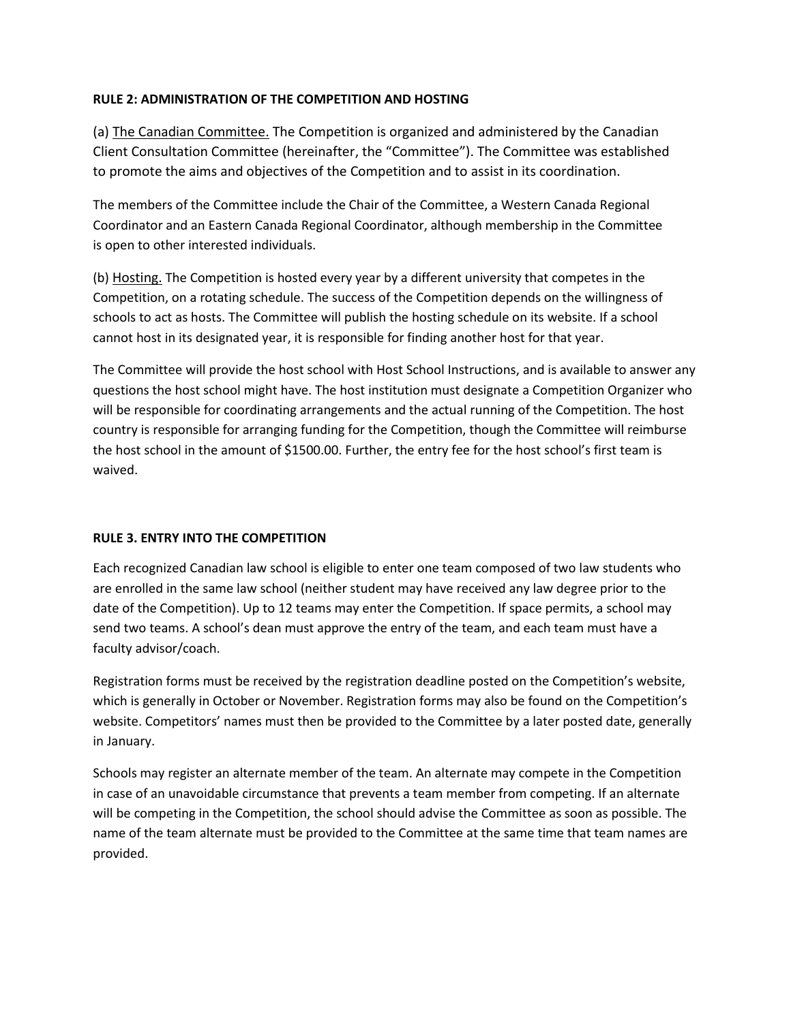# **RULE 2: ADMINISTRATION OF THE COMPETITION AND HOSTING**

(a) The Canadian Committee. The Competition is organized and administered by the Canadian Client Consultation Committee (hereinafter, the "Committee"). The Committee was established to promote the aims and objectives of the Competition and to assist in its coordination.

The members of the Committee include the Chair of the Committee, a Western Canada Regional Coordinator and an Eastern Canada Regional Coordinator, although membership in the Committee is open to other interested individuals.

(b) Hosting. The Competition is hosted every year by a different university that competes in the Competition, on a rotating schedule. The success of the Competition depends on the willingness of schools to act as hosts. The Committee will publish the hosting schedule on its website. If a school cannot host in its designated year, it is responsible for finding another host for that year.

The Committee will provide the host school with Host School Instructions, and is available to answer any questions the host school might have. The host institution must designate a Competition Organizer who will be responsible for coordinating arrangements and the actual running of the Competition. The host country is responsible for arranging funding for the Competition, though the Committee will reimburse the host school in the amount of \$1500.00. Further, the entry fee for the host school's first team is waived.

# **RULE 3. ENTRY INTO THE COMPETITION**

Each recognized Canadian law school is eligible to enter one team composed of two law students who are enrolled in the same law school (neither student may have received any law degree prior to the date of the Competition). Up to 12 teams may enter the Competition. If space permits, a school may send two teams. A school's dean must approve the entry of the team, and each team must have a faculty advisor/coach.

Registration forms must be received by the registration deadline posted on the Competition's website, which is generally in October or November. Registration forms may also be found on the Competition's website. Competitors' names must then be provided to the Committee by a later posted date, generally in January.

Schools may register an alternate member of the team. An alternate may compete in the Competition in case of an unavoidable circumstance that prevents a team member from competing. If an alternate will be competing in the Competition, the school should advise the Committee as soon as possible. The name of the team alternate must be provided to the Committee at the same time that team names are provided.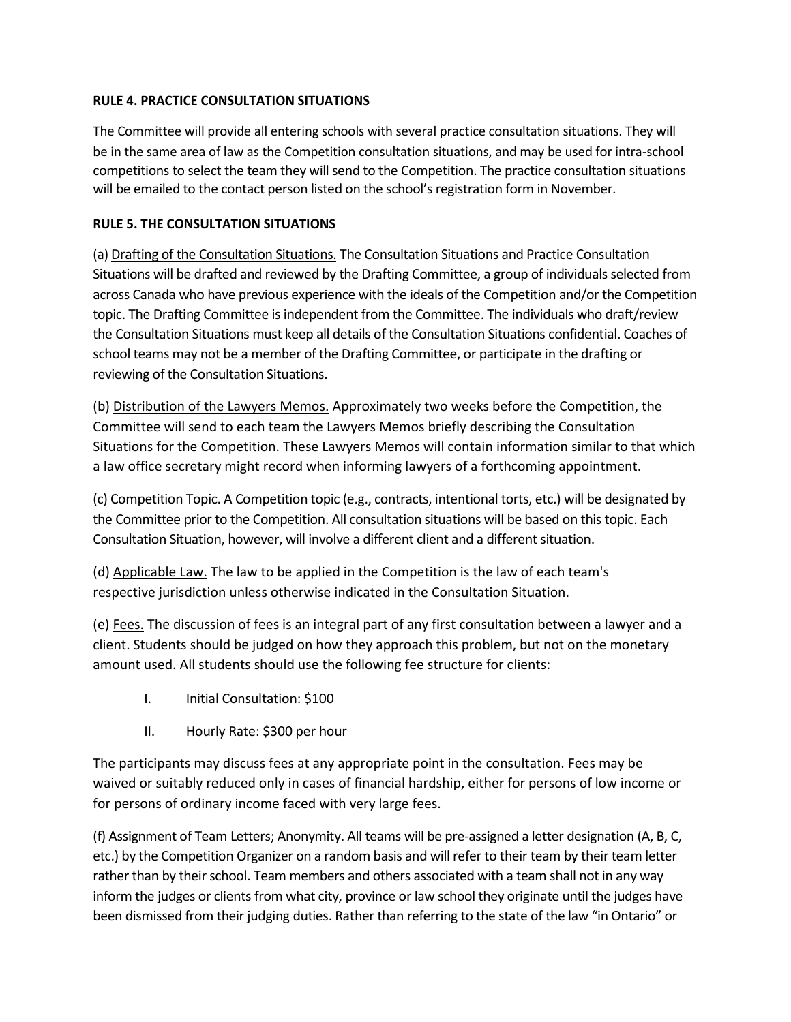# **RULE 4. PRACTICE CONSULTATION SITUATIONS**

The Committee will provide all entering schools with several practice consultation situations. They will be in the same area of law as the Competition consultation situations, and may be used for intra-school competitions to select the team they will send to the Competition. The practice consultation situations will be emailed to the contact person listed on the school's registration form in November.

# **RULE 5. THE CONSULTATION SITUATIONS**

(a) Drafting of the Consultation Situations. The Consultation Situations and Practice Consultation Situations will be drafted and reviewed by the Drafting Committee, a group of individuals selected from across Canada who have previous experience with the ideals of the Competition and/or the Competition topic. The Drafting Committee is independent from the Committee. The individuals who draft/review the Consultation Situations must keep all details of the Consultation Situations confidential. Coaches of school teams may not be a member of the Drafting Committee, or participate in the drafting or reviewing of the Consultation Situations.

(b) Distribution of the Lawyers Memos. Approximately two weeks before the Competition, the Committee will send to each team the Lawyers Memos briefly describing the Consultation Situations for the Competition. These Lawyers Memos will contain information similar to that which a law office secretary might record when informing lawyers of a forthcoming appointment.

(c) Competition Topic. A Competition topic (e.g., contracts, intentional torts, etc.) will be designated by the Committee prior to the Competition. All consultation situations will be based on this topic. Each Consultation Situation, however, will involve a different client and a different situation.

(d) Applicable Law. The law to be applied in the Competition is the law of each team's respective jurisdiction unless otherwise indicated in the Consultation Situation.

(e) Fees. The discussion of fees is an integral part of any first consultation between a lawyer and a client. Students should be judged on how they approach this problem, but not on the monetary amount used. All students should use the following fee structure for clients:

- I. Initial Consultation: \$100
- II. Hourly Rate: \$300 per hour

The participants may discuss fees at any appropriate point in the consultation. Fees may be waived or suitably reduced only in cases of financial hardship, either for persons of low income or for persons of ordinary income faced with very large fees.

(f) Assignment of Team Letters; Anonymity. All teams will be pre-assigned a letter designation (A, B, C, etc.) by the Competition Organizer on a random basis and will refer to their team by their team letter rather than by their school. Team members and others associated with a team shall not in any way inform the judges or clients from what city, province or law school they originate until the judges have been dismissed from their judging duties. Rather than referring to the state of the law "in Ontario" or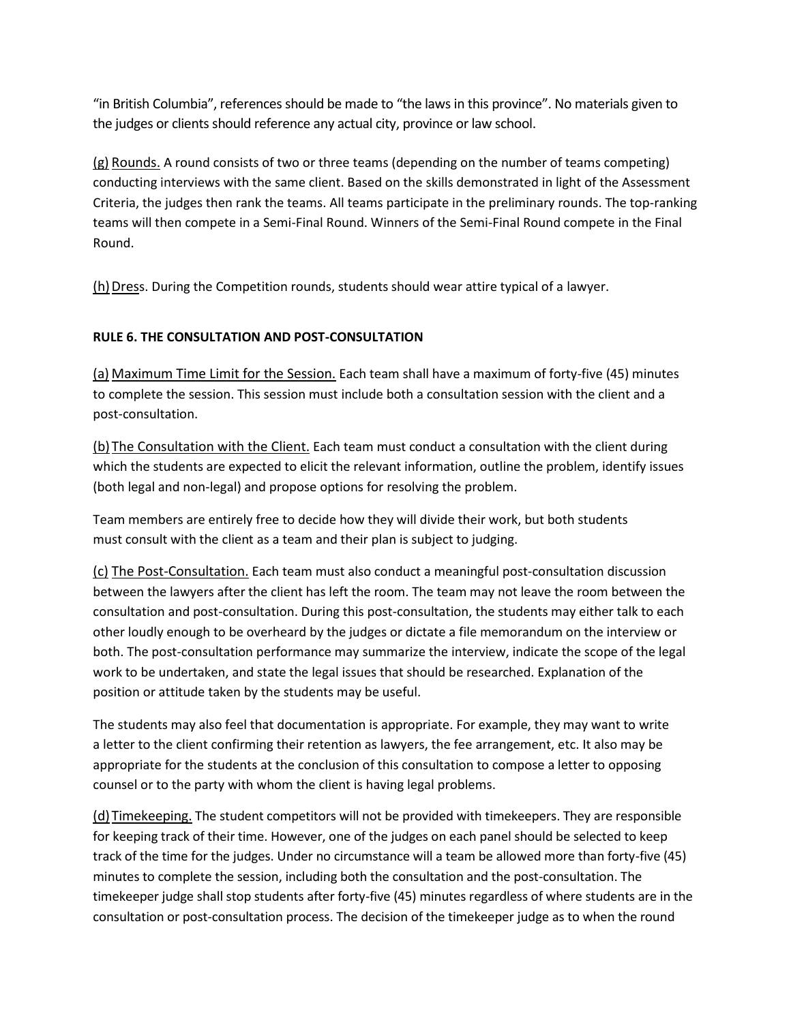"in British Columbia", references should be made to "the laws in this province". No materials given to the judges or clients should reference any actual city, province or law school.

(g) Rounds. A round consists of two or three teams (depending on the number of teams competing) conducting interviews with the same client. Based on the skills demonstrated in light of the Assessment Criteria, the judges then rank the teams. All teams participate in the preliminary rounds. The top-ranking teams will then compete in a Semi-Final Round. Winners of the Semi-Final Round compete in the Final Round.

(h)Dress. During the Competition rounds, students should wear attire typical of a lawyer.

# **RULE 6. THE CONSULTATION AND POST-CONSULTATION**

(a) Maximum Time Limit for the Session. Each team shall have a maximum of forty-five (45) minutes to complete the session. This session must include both a consultation session with the client and a post-consultation.

(b) The Consultation with the Client. Each team must conduct a consultation with the client during which the students are expected to elicit the relevant information, outline the problem, identify issues (both legal and non-legal) and propose options for resolving the problem.

Team members are entirely free to decide how they will divide their work, but both students must consult with the client as a team and their plan is subject to judging.

(c) The Post-Consultation. Each team must also conduct a meaningful post-consultation discussion between the lawyers after the client has left the room. The team may not leave the room between the consultation and post-consultation. During this post-consultation, the students may either talk to each other loudly enough to be overheard by the judges or dictate a file memorandum on the interview or both. The post-consultation performance may summarize the interview, indicate the scope of the legal work to be undertaken, and state the legal issues that should be researched. Explanation of the position or attitude taken by the students may be useful.

The students may also feel that documentation is appropriate. For example, they may want to write a letter to the client confirming their retention as lawyers, the fee arrangement, etc. It also may be appropriate for the students at the conclusion of this consultation to compose a letter to opposing counsel or to the party with whom the client is having legal problems.

(d) Timekeeping. The student competitors will not be provided with timekeepers. They are responsible for keeping track of their time. However, one of the judges on each panel should be selected to keep track of the time for the judges. Under no circumstance will a team be allowed more than forty-five (45) minutes to complete the session, including both the consultation and the post-consultation. The timekeeper judge shall stop students after forty-five (45) minutes regardless of where students are in the consultation or post-consultation process. The decision of the timekeeper judge as to when the round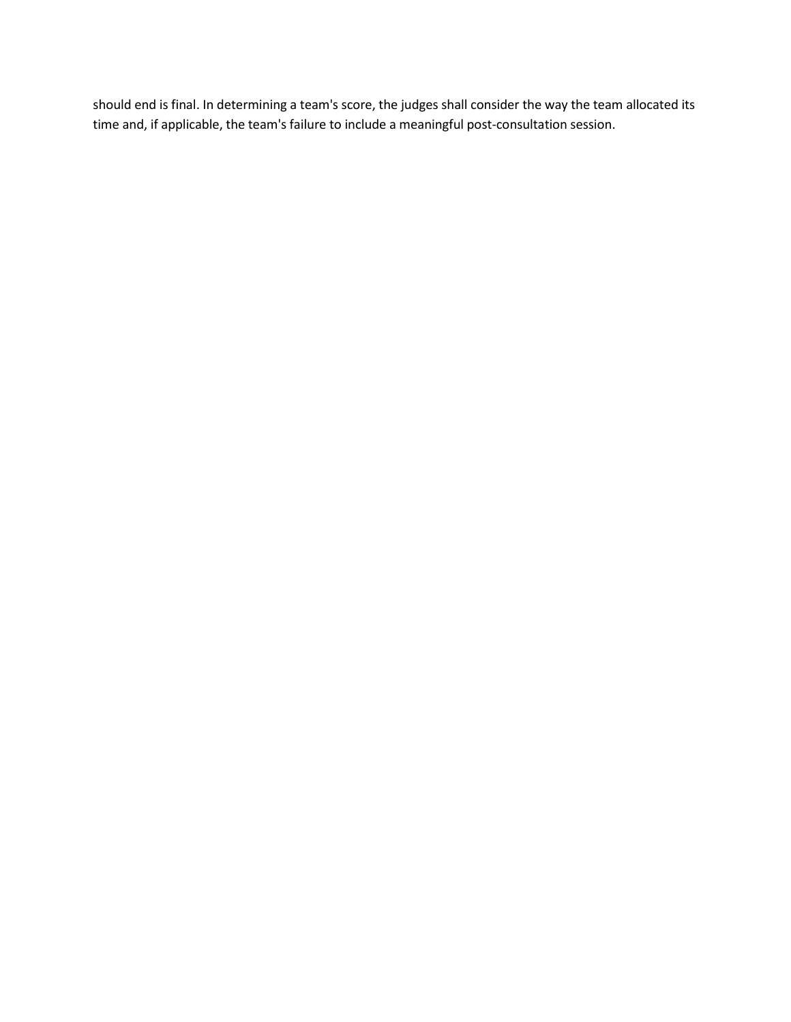should end is final. In determining a team's score, the judges shall consider the way the team allocated its time and, if applicable, the team's failure to include a meaningful post-consultation session.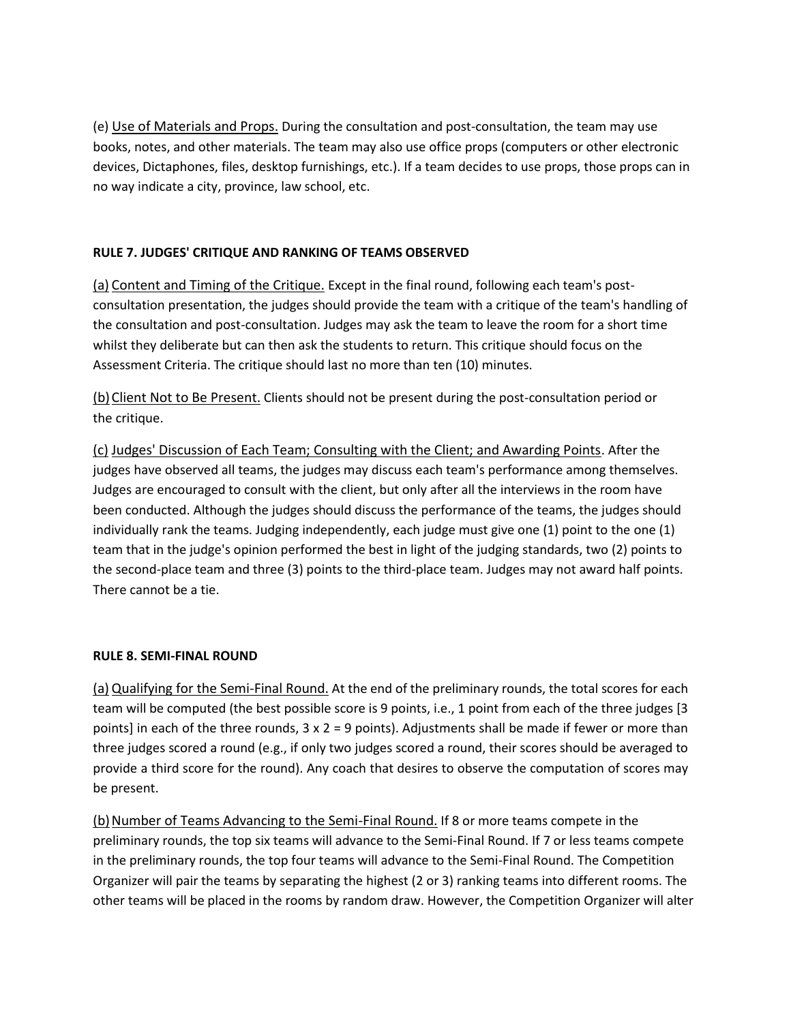(e) Use of Materials and Props. During the consultation and post-consultation, the team may use books, notes, and other materials. The team may also use office props (computers or other electronic devices, Dictaphones, files, desktop furnishings, etc.). If a team decides to use props, those props can in no way indicate a city, province, law school, etc.

# **RULE 7. JUDGES' CRITIQUE AND RANKING OF TEAMS OBSERVED**

(a) Content and Timing of the Critique. Except in the final round, following each team's postconsultation presentation, the judges should provide the team with a critique of the team's handling of the consultation and post-consultation. Judges may ask the team to leave the room for a short time whilst they deliberate but can then ask the students to return. This critique should focus on the Assessment Criteria. The critique should last no more than ten (10) minutes.

(b)Client Not to Be Present. Clients should not be present during the post-consultation period or the critique.

(c) Judges' Discussion of Each Team; Consulting with the Client; and Awarding Points. After the judges have observed all teams, the judges may discuss each team's performance among themselves. Judges are encouraged to consult with the client, but only after all the interviews in the room have been conducted. Although the judges should discuss the performance of the teams, the judges should individually rank the teams. Judging independently, each judge must give one (1) point to the one (1) team that in the judge's opinion performed the best in light of the judging standards, two (2) points to the second-place team and three (3) points to the third-place team. Judges may not award half points. There cannot be a tie.

# **RULE 8. SEMI-FINAL ROUND**

(a)Qualifying for the Semi-Final Round. At the end of the preliminary rounds, the total scores for each team will be computed (the best possible score is 9 points, i.e., 1 point from each of the three judges [3 points] in each of the three rounds,  $3 \times 2 = 9$  points). Adjustments shall be made if fewer or more than three judges scored a round (e.g., if only two judges scored a round, their scores should be averaged to provide a third score for the round). Any coach that desires to observe the computation of scores may be present.

(b) Number of Teams Advancing to the Semi-Final Round. If 8 or more teams compete in the preliminary rounds, the top six teams will advance to the Semi-Final Round. If 7 or less teams compete in the preliminary rounds, the top four teams will advance to the Semi-Final Round. The Competition Organizer will pair the teams by separating the highest (2 or 3) ranking teams into different rooms. The other teams will be placed in the rooms by random draw. However, the Competition Organizer will alter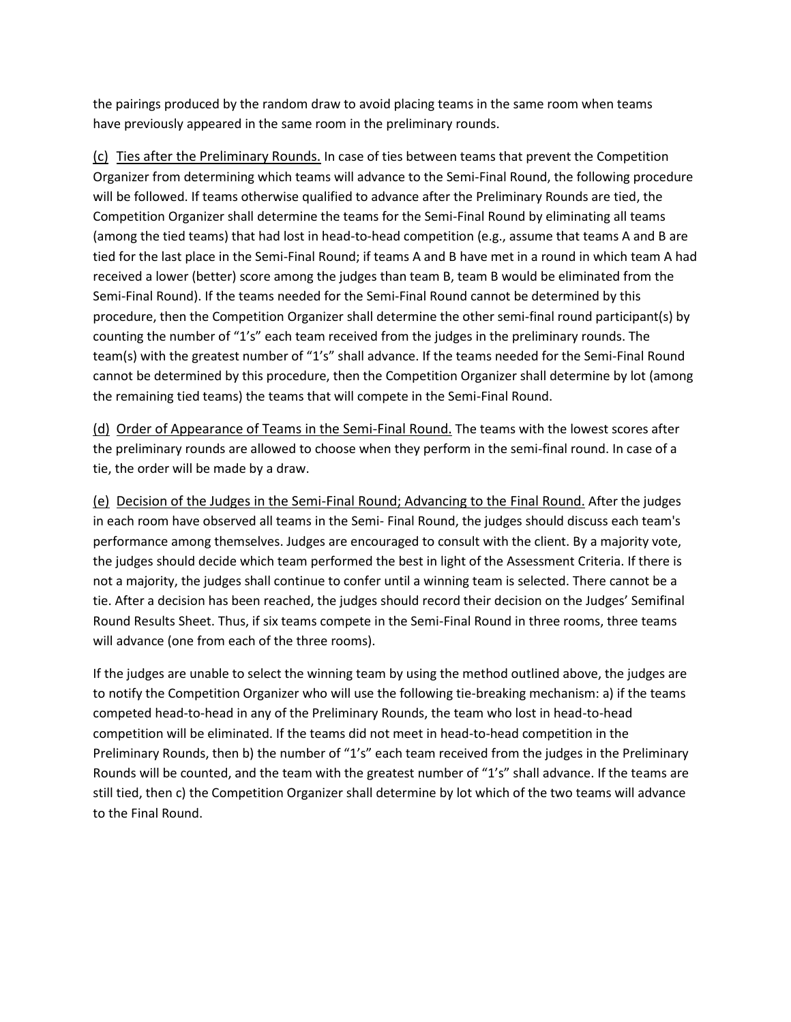the pairings produced by the random draw to avoid placing teams in the same room when teams have previously appeared in the same room in the preliminary rounds.

(c) Ties after the Preliminary Rounds. In case of ties between teams that prevent the Competition Organizer from determining which teams will advance to the Semi-Final Round, the following procedure will be followed. If teams otherwise qualified to advance after the Preliminary Rounds are tied, the Competition Organizer shall determine the teams for the Semi-Final Round by eliminating all teams (among the tied teams) that had lost in head-to-head competition (e.g., assume that teams A and B are tied for the last place in the Semi-Final Round; if teams A and B have met in a round in which team A had received a lower (better) score among the judges than team B, team B would be eliminated from the Semi-Final Round). If the teams needed for the Semi-Final Round cannot be determined by this procedure, then the Competition Organizer shall determine the other semi-final round participant(s) by counting the number of "1's" each team received from the judges in the preliminary rounds. The team(s) with the greatest number of "1's" shall advance. If the teams needed for the Semi-Final Round cannot be determined by this procedure, then the Competition Organizer shall determine by lot (among the remaining tied teams) the teams that will compete in the Semi-Final Round.

(d) Order of Appearance of Teams in the Semi-Final Round. The teams with the lowest scores after the preliminary rounds are allowed to choose when they perform in the semi-final round. In case of a tie, the order will be made by a draw.

(e) Decision of the Judges in the Semi-Final Round; Advancing to the Final Round. After the judges in each room have observed all teams in the Semi- Final Round, the judges should discuss each team's performance among themselves. Judges are encouraged to consult with the client. By a majority vote, the judges should decide which team performed the best in light of the Assessment Criteria. If there is not a majority, the judges shall continue to confer until a winning team is selected. There cannot be a tie. After a decision has been reached, the judges should record their decision on the Judges' Semifinal Round Results Sheet. Thus, if six teams compete in the Semi-Final Round in three rooms, three teams will advance (one from each of the three rooms).

If the judges are unable to select the winning team by using the method outlined above, the judges are to notify the Competition Organizer who will use the following tie-breaking mechanism: a) if the teams competed head-to-head in any of the Preliminary Rounds, the team who lost in head-to-head competition will be eliminated. If the teams did not meet in head-to-head competition in the Preliminary Rounds, then b) the number of "1's" each team received from the judges in the Preliminary Rounds will be counted, and the team with the greatest number of "1's" shall advance. If the teams are still tied, then c) the Competition Organizer shall determine by lot which of the two teams will advance to the Final Round.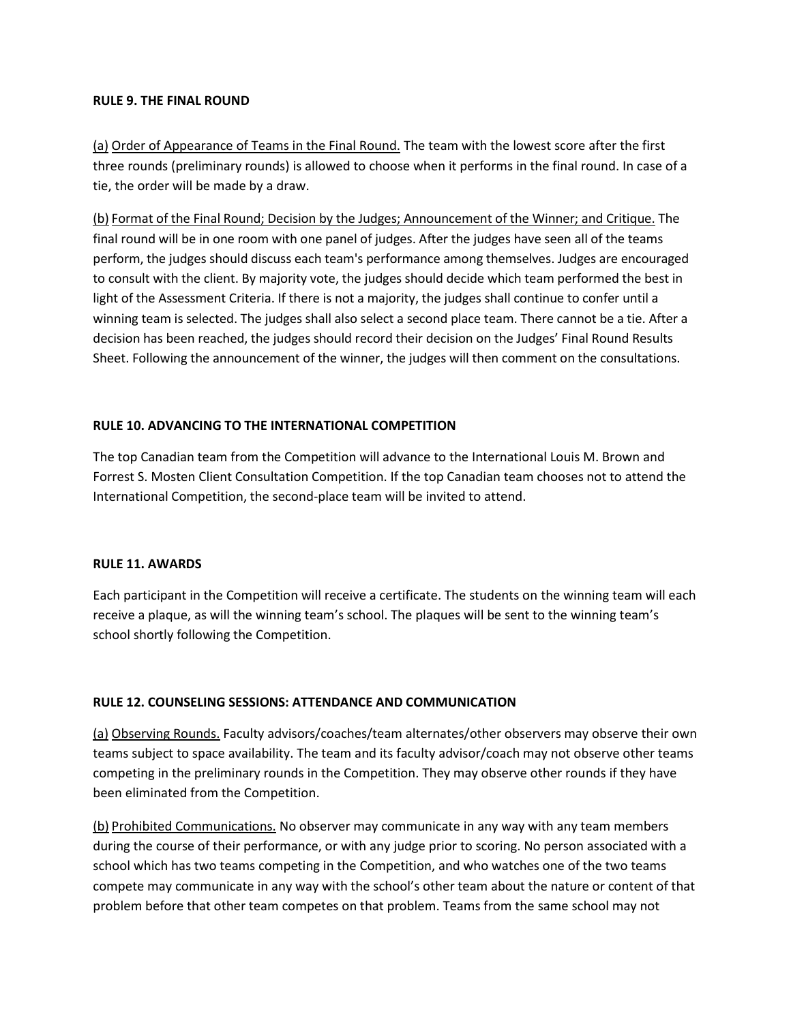## **RULE 9. THE FINAL ROUND**

(a) Order of Appearance of Teams in the Final Round. The team with the lowest score after the first three rounds (preliminary rounds) is allowed to choose when it performs in the final round. In case of a tie, the order will be made by a draw.

(b) Format of the Final Round; Decision by the Judges; Announcement of the Winner; and Critique. The final round will be in one room with one panel of judges. After the judges have seen all of the teams perform, the judges should discuss each team's performance among themselves. Judges are encouraged to consult with the client. By majority vote, the judges should decide which team performed the best in light of the Assessment Criteria. If there is not a majority, the judges shall continue to confer until a winning team is selected. The judges shall also select a second place team. There cannot be a tie. After a decision has been reached, the judges should record their decision on the Judges' Final Round Results Sheet. Following the announcement of the winner, the judges will then comment on the consultations.

# **RULE 10. ADVANCING TO THE INTERNATIONAL COMPETITION**

The top Canadian team from the Competition will advance to the International Louis M. Brown and Forrest S. Mosten Client Consultation Competition. If the top Canadian team chooses not to attend the International Competition, the second-place team will be invited to attend.

# **RULE 11. AWARDS**

Each participant in the Competition will receive a certificate. The students on the winning team will each receive a plaque, as will the winning team's school. The plaques will be sent to the winning team's school shortly following the Competition.

# **RULE 12. COUNSELING SESSIONS: ATTENDANCE AND COMMUNICATION**

(a) Observing Rounds. Faculty advisors/coaches/team alternates/other observers may observe their own teams subject to space availability. The team and its faculty advisor/coach may not observe other teams competing in the preliminary rounds in the Competition. They may observe other rounds if they have been eliminated from the Competition.

(b) Prohibited Communications. No observer may communicate in any way with any team members during the course of their performance, or with any judge prior to scoring. No person associated with a school which has two teams competing in the Competition, and who watches one of the two teams compete may communicate in any way with the school's other team about the nature or content of that problem before that other team competes on that problem. Teams from the same school may not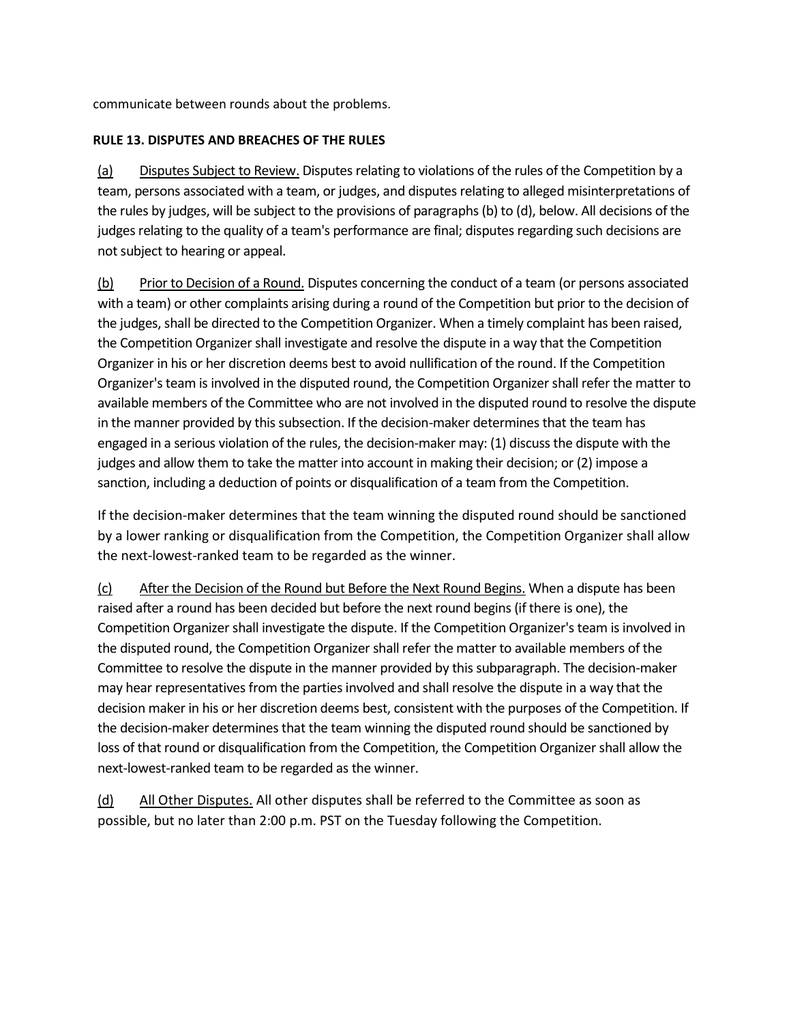communicate between rounds about the problems.

# **RULE 13. DISPUTES AND BREACHES OF THE RULES**

(a) Disputes Subject to Review. Disputes relating to violations of the rules of the Competition by a team, persons associated with a team, or judges, and disputes relating to alleged misinterpretations of the rules by judges, will be subject to the provisions of paragraphs (b) to (d), below. All decisions of the judges relating to the quality of a team's performance are final; disputes regarding such decisions are not subject to hearing or appeal.

(b) Prior to Decision of a Round. Disputes concerning the conduct of a team (or persons associated with a team) or other complaints arising during a round of the Competition but prior to the decision of the judges, shall be directed to the Competition Organizer. When a timely complaint has been raised, the Competition Organizer shall investigate and resolve the dispute in a way that the Competition Organizer in his or her discretion deems best to avoid nullification of the round. If the Competition Organizer's team is involved in the disputed round, the Competition Organizer shall refer the matter to available members of the Committee who are not involved in the disputed round to resolve the dispute in the manner provided by this subsection. If the decision-maker determines that the team has engaged in a serious violation of the rules, the decision-maker may: (1) discuss the dispute with the judges and allow them to take the matter into account in making their decision; or (2) impose a sanction, including a deduction of points or disqualification of a team from the Competition.

If the decision-maker determines that the team winning the disputed round should be sanctioned by a lower ranking or disqualification from the Competition, the Competition Organizer shall allow the next-lowest-ranked team to be regarded as the winner.

(c) After the Decision of the Round but Before the Next Round Begins. When a dispute has been raised after a round has been decided but before the next round begins (if there is one), the Competition Organizer shall investigate the dispute. If the Competition Organizer's team is involved in the disputed round, the Competition Organizer shall refer the matter to available members of the Committee to resolve the dispute in the manner provided by this subparagraph. The decision-maker may hear representatives from the parties involved and shall resolve the dispute in a way that the decision maker in his or her discretion deems best, consistent with the purposes of the Competition. If the decision-maker determines that the team winning the disputed round should be sanctioned by loss of that round or disqualification from the Competition, the Competition Organizer shall allow the next-lowest-ranked team to be regarded as the winner.

(d) All Other Disputes. All other disputes shall be referred to the Committee as soon as possible, but no later than 2:00 p.m. PST on the Tuesday following the Competition.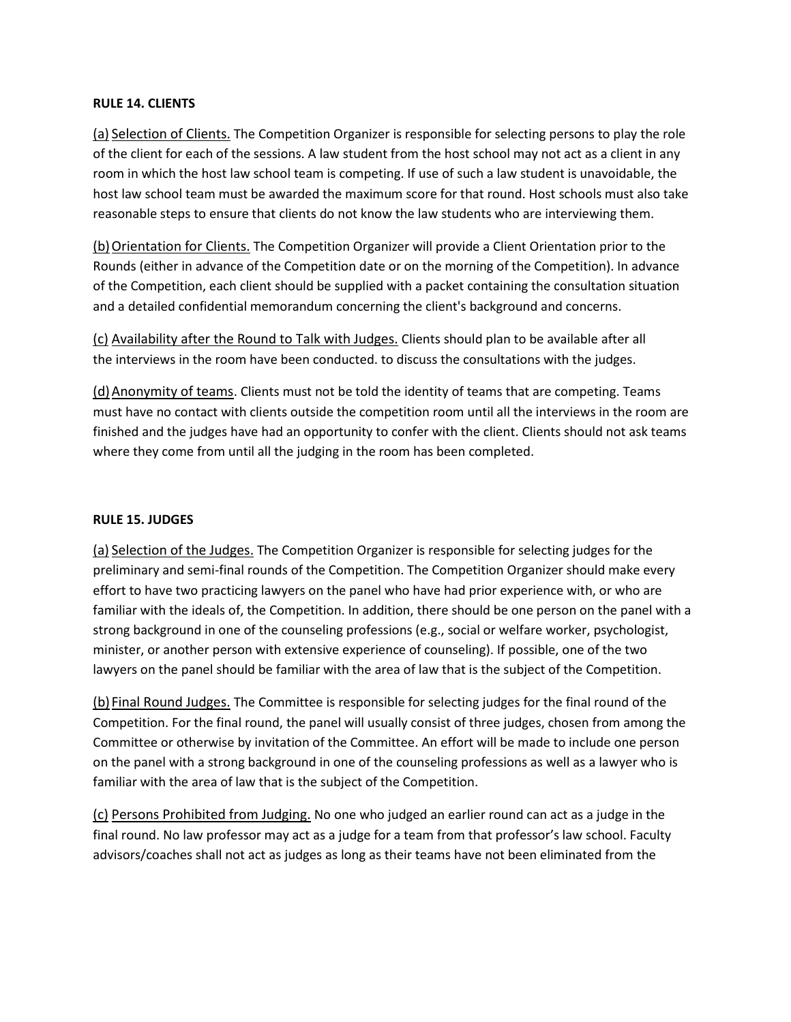## **RULE 14. CLIENTS**

(a) Selection of Clients. The Competition Organizer is responsible for selecting persons to play the role of the client for each of the sessions. A law student from the host school may not act as a client in any room in which the host law school team is competing. If use of such a law student is unavoidable, the host law school team must be awarded the maximum score for that round. Host schools must also take reasonable steps to ensure that clients do not know the law students who are interviewing them.

(b)Orientation for Clients. The Competition Organizer will provide a Client Orientation prior to the Rounds (either in advance of the Competition date or on the morning of the Competition). In advance of the Competition, each client should be supplied with a packet containing the consultation situation and a detailed confidential memorandum concerning the client's background and concerns.

(c) Availability after the Round to Talk with Judges. Clients should plan to be available after all the interviews in the room have been conducted. to discuss the consultations with the judges.

(d)Anonymity of teams. Clients must not be told the identity of teams that are competing. Teams must have no contact with clients outside the competition room until all the interviews in the room are finished and the judges have had an opportunity to confer with the client. Clients should not ask teams where they come from until all the judging in the room has been completed.

# **RULE 15. JUDGES**

(a) Selection of the Judges. The Competition Organizer is responsible for selecting judges for the preliminary and semi-final rounds of the Competition. The Competition Organizer should make every effort to have two practicing lawyers on the panel who have had prior experience with, or who are familiar with the ideals of, the Competition. In addition, there should be one person on the panel with a strong background in one of the counseling professions (e.g., social or welfare worker, psychologist, minister, or another person with extensive experience of counseling). If possible, one of the two lawyers on the panel should be familiar with the area of law that is the subject of the Competition.

(b) Final Round Judges. The Committee is responsible for selecting judges for the final round of the Competition. For the final round, the panel will usually consist of three judges, chosen from among the Committee or otherwise by invitation of the Committee. An effort will be made to include one person on the panel with a strong background in one of the counseling professions as well as a lawyer who is familiar with the area of law that is the subject of the Competition.

(c) Persons Prohibited from Judging. No one who judged an earlier round can act as a judge in the final round. No law professor may act as a judge for a team from that professor's law school. Faculty advisors/coaches shall not act as judges as long as their teams have not been eliminated from the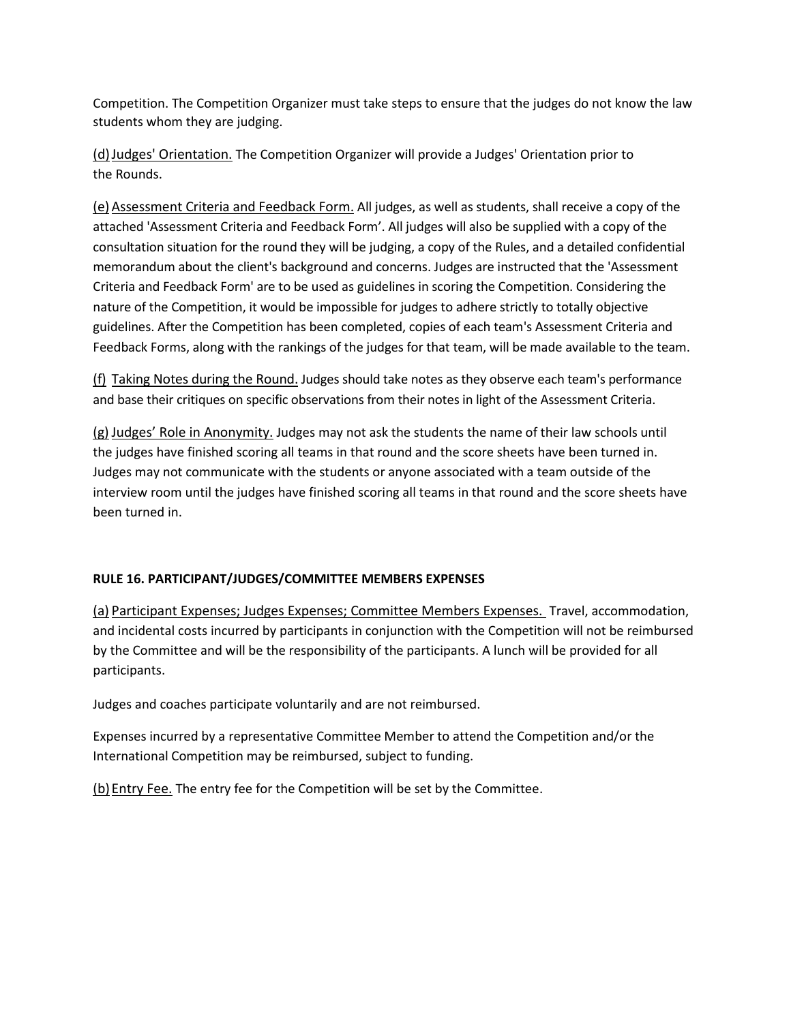Competition. The Competition Organizer must take steps to ensure that the judges do not know the law students whom they are judging.

(d)Judges' Orientation. The Competition Organizer will provide a Judges' Orientation prior to the Rounds.

(e) Assessment Criteria and Feedback Form. All judges, as well as students, shall receive a copy of the attached 'Assessment Criteria and Feedback Form'. All judges will also be supplied with a copy of the consultation situation for the round they will be judging, a copy of the Rules, and a detailed confidential memorandum about the client's background and concerns. Judges are instructed that the 'Assessment Criteria and Feedback Form' are to be used as guidelines in scoring the Competition. Considering the nature of the Competition, it would be impossible for judges to adhere strictly to totally objective guidelines. After the Competition has been completed, copies of each team's Assessment Criteria and Feedback Forms, along with the rankings of the judges for that team, will be made available to the team.

(f) Taking Notes during the Round. Judges should take notes as they observe each team's performance and base their critiques on specific observations from their notes in light of the Assessment Criteria.

(g) Judges' Role in Anonymity. Judges may not ask the students the name of their law schools until the judges have finished scoring all teams in that round and the score sheets have been turned in. Judges may not communicate with the students or anyone associated with a team outside of the interview room until the judges have finished scoring all teams in that round and the score sheets have been turned in.

# **RULE 16. PARTICIPANT/JUDGES/COMMITTEE MEMBERS EXPENSES**

(a) Participant Expenses; Judges Expenses; Committee Members Expenses. Travel, accommodation, and incidental costs incurred by participants in conjunction with the Competition will not be reimbursed by the Committee and will be the responsibility of the participants. A lunch will be provided for all participants.

Judges and coaches participate voluntarily and are not reimbursed.

Expenses incurred by a representative Committee Member to attend the Competition and/or the International Competition may be reimbursed, subject to funding.

(b) Entry Fee. The entry fee for the Competition will be set by the Committee.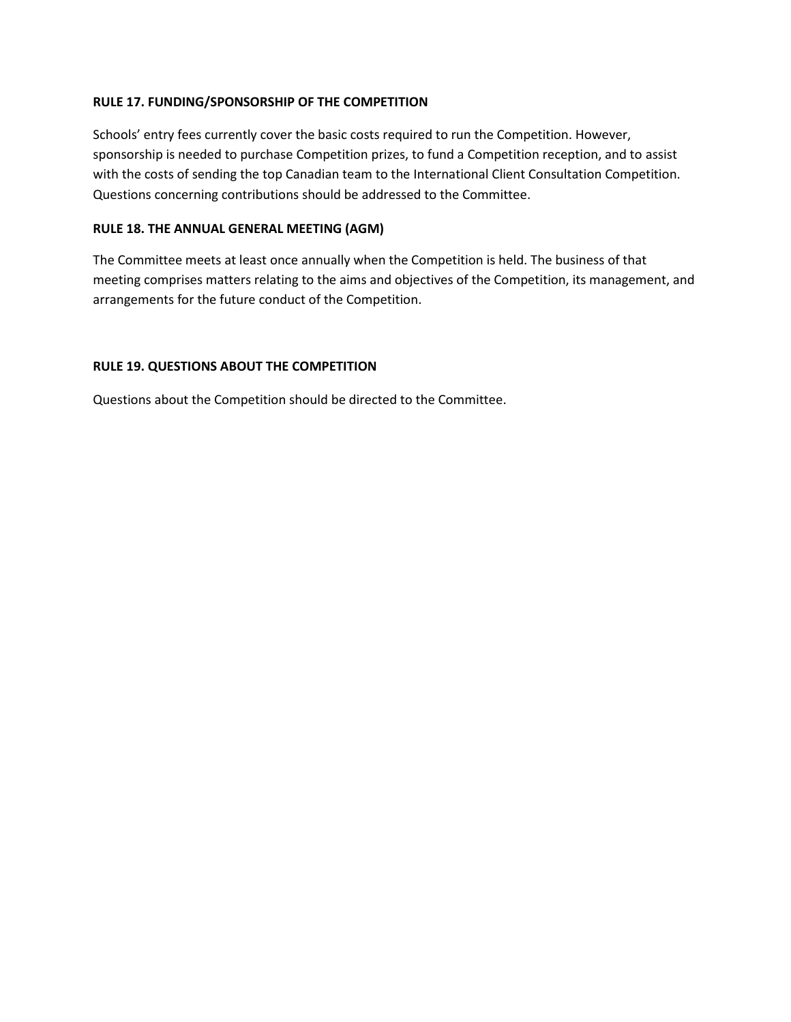# **RULE 17. FUNDING/SPONSORSHIP OF THE COMPETITION**

Schools' entry fees currently cover the basic costs required to run the Competition. However, sponsorship is needed to purchase Competition prizes, to fund a Competition reception, and to assist with the costs of sending the top Canadian team to the International Client Consultation Competition. Questions concerning contributions should be addressed to the Committee.

# **RULE 18. THE ANNUAL GENERAL MEETING (AGM)**

The Committee meets at least once annually when the Competition is held. The business of that meeting comprises matters relating to the aims and objectives of the Competition, its management, and arrangements for the future conduct of the Competition.

# **RULE 19. QUESTIONS ABOUT THE COMPETITION**

Questions about the Competition should be directed to the Committee.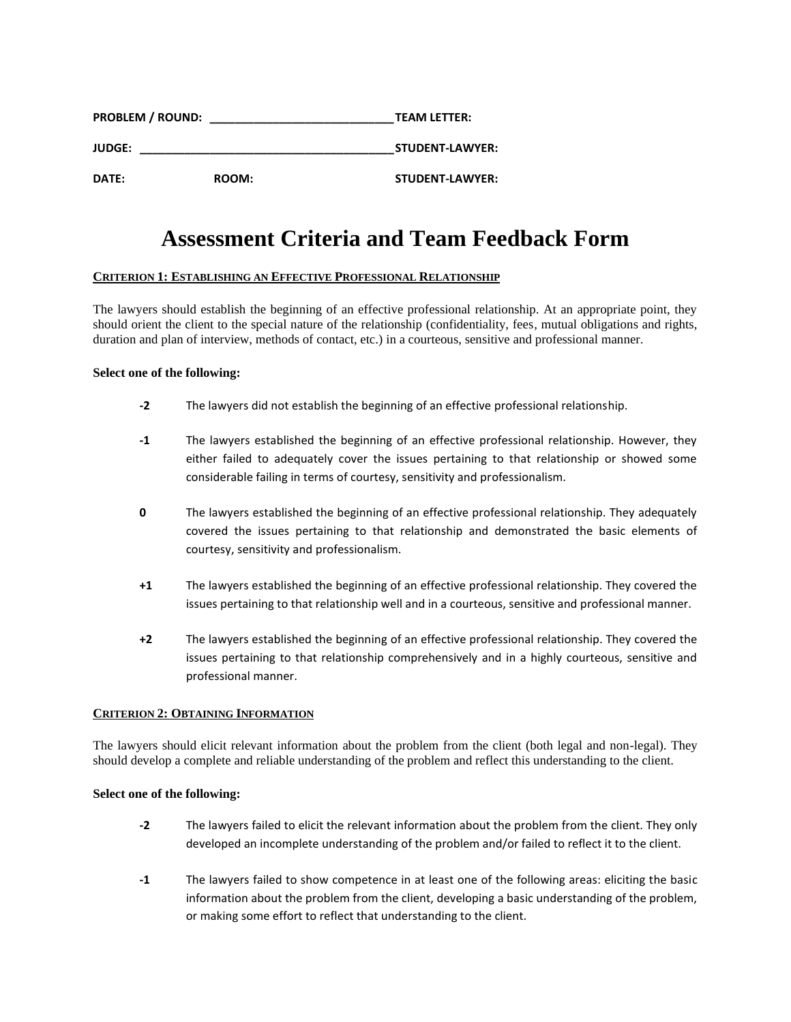| <b>PROBLEM / ROUND:</b><br><b>JUDGE:</b> |  | <b>TEAM LETTER:</b><br><b>STUDENT-LAWYER:</b> |
|------------------------------------------|--|-----------------------------------------------|
|                                          |  |                                               |

# **Assessment Criteria and Team Feedback Form**

## **CRITERION 1: ESTABLISHING AN EFFECTIVE PROFESSIONAL RELATIONSHIP**

The lawyers should establish the beginning of an effective professional relationship. At an appropriate point, they should orient the client to the special nature of the relationship (confidentiality, fees, mutual obligations and rights, duration and plan of interview, methods of contact, etc.) in a courteous, sensitive and professional manner.

## **Select one of the following:**

- **-2** The lawyers did not establish the beginning of an effective professional relationship.
- **-1** The lawyers established the beginning of an effective professional relationship. However, they either failed to adequately cover the issues pertaining to that relationship or showed some considerable failing in terms of courtesy, sensitivity and professionalism.
- **0** The lawyers established the beginning of an effective professional relationship. They adequately covered the issues pertaining to that relationship and demonstrated the basic elements of courtesy, sensitivity and professionalism.
- **+1** The lawyers established the beginning of an effective professional relationship. They covered the issues pertaining to that relationship well and in a courteous, sensitive and professional manner.
- **+2** The lawyers established the beginning of an effective professional relationship. They covered the issues pertaining to that relationship comprehensively and in a highly courteous, sensitive and professional manner.

## **CRITERION 2: OBTAINING INFORMATION**

The lawyers should elicit relevant information about the problem from the client (both legal and non-legal). They should develop a complete and reliable understanding of the problem and reflect this understanding to the client.

- **-2** The lawyers failed to elicit the relevant information about the problem from the client. They only developed an incomplete understanding of the problem and/or failed to reflect it to the client.
- **-1** The lawyers failed to show competence in at least one of the following areas: eliciting the basic information about the problem from the client, developing a basic understanding of the problem, or making some effort to reflect that understanding to the client.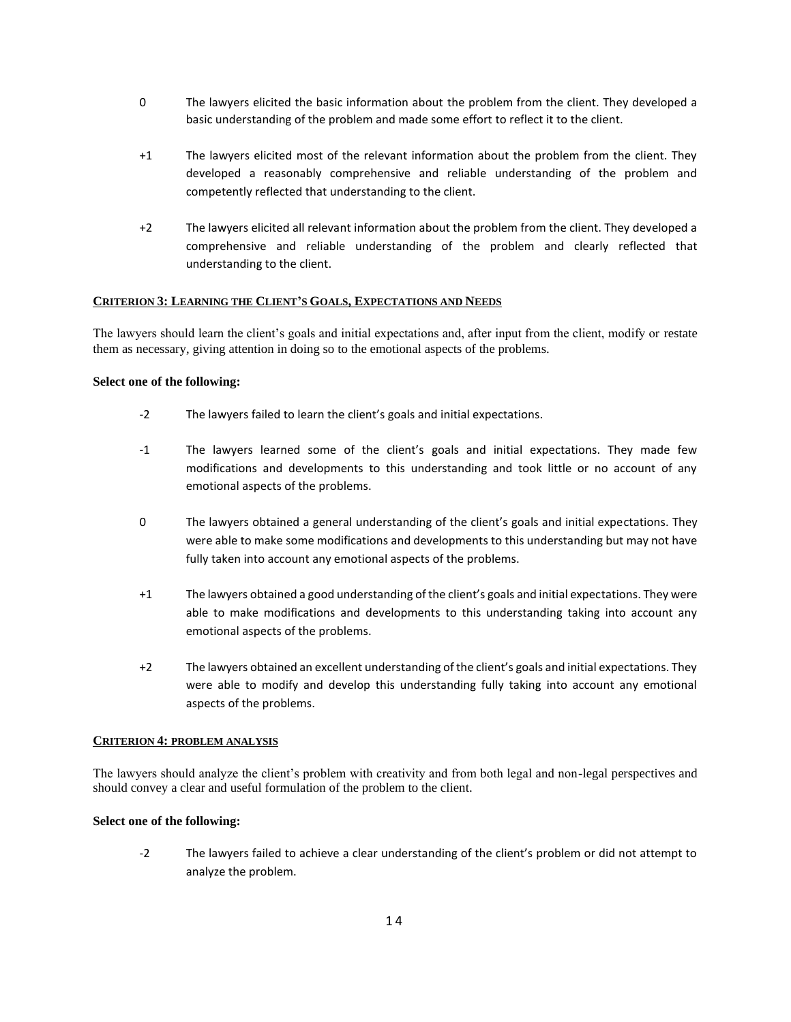- 0 The lawyers elicited the basic information about the problem from the client. They developed a basic understanding of the problem and made some effort to reflect it to the client.
- +1 The lawyers elicited most of the relevant information about the problem from the client. They developed a reasonably comprehensive and reliable understanding of the problem and competently reflected that understanding to the client.
- +2 The lawyers elicited all relevant information about the problem from the client. They developed a comprehensive and reliable understanding of the problem and clearly reflected that understanding to the client.

## **CRITERION 3: LEARNING THE CLIENT'S GOALS, EXPECTATIONS AND NEEDS**

The lawyers should learn the client's goals and initial expectations and, after input from the client, modify or restate them as necessary, giving attention in doing so to the emotional aspects of the problems.

## **Select one of the following:**

- -2 The lawyers failed to learn the client's goals and initial expectations.
- -1 The lawyers learned some of the client's goals and initial expectations. They made few modifications and developments to this understanding and took little or no account of any emotional aspects of the problems.
- 0 The lawyers obtained a general understanding of the client's goals and initial expectations. They were able to make some modifications and developments to this understanding but may not have fully taken into account any emotional aspects of the problems.
- +1 The lawyers obtained a good understanding of the client's goals and initial expectations. They were able to make modifications and developments to this understanding taking into account any emotional aspects of the problems.
- +2 The lawyers obtained an excellent understanding of the client's goals and initial expectations. They were able to modify and develop this understanding fully taking into account any emotional aspects of the problems.

## **CRITERION 4: PROBLEM ANALYSIS**

The lawyers should analyze the client's problem with creativity and from both legal and non-legal perspectives and should convey a clear and useful formulation of the problem to the client.

## **Select one of the following:**

-2 The lawyers failed to achieve a clear understanding of the client's problem or did not attempt to analyze the problem.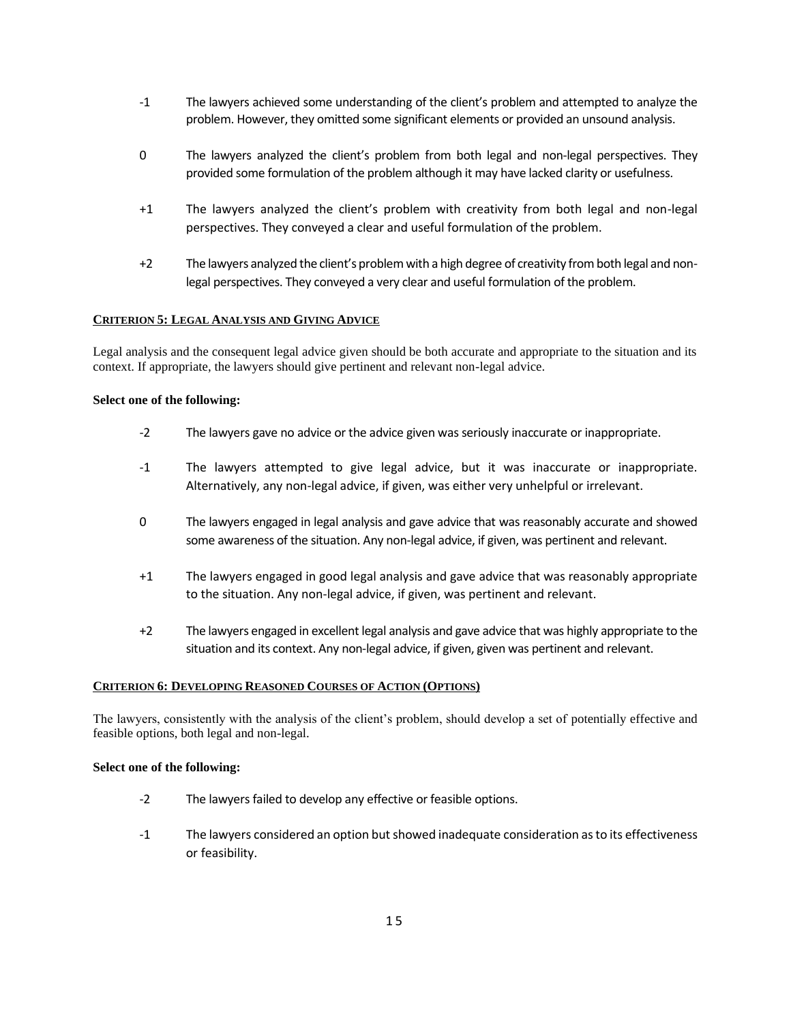- -1 The lawyers achieved some understanding of the client's problem and attempted to analyze the problem. However, they omitted some significant elements or provided an unsound analysis.
- 0 The lawyers analyzed the client's problem from both legal and non-legal perspectives. They provided some formulation of the problem although it may have lacked clarity or usefulness.
- +1 The lawyers analyzed the client's problem with creativity from both legal and non-legal perspectives. They conveyed a clear and useful formulation of the problem.
- +2 The lawyers analyzed the client's problem with a high degree of creativity from both legal and nonlegal perspectives. They conveyed a very clear and useful formulation of the problem.

## **CRITERION 5: LEGAL ANALYSIS AND GIVING ADVICE**

Legal analysis and the consequent legal advice given should be both accurate and appropriate to the situation and its context. If appropriate, the lawyers should give pertinent and relevant non-legal advice.

## **Select one of the following:**

- -2 The lawyers gave no advice or the advice given was seriously inaccurate or inappropriate.
- -1 The lawyers attempted to give legal advice, but it was inaccurate or inappropriate. Alternatively, any non-legal advice, if given, was either very unhelpful or irrelevant.
- 0 The lawyers engaged in legal analysis and gave advice that was reasonably accurate and showed some awareness of the situation. Any non-legal advice, if given, was pertinent and relevant.
- +1 The lawyers engaged in good legal analysis and gave advice that was reasonably appropriate to the situation. Any non-legal advice, if given, was pertinent and relevant.
- +2 The lawyers engaged in excellent legal analysis and gave advice that was highly appropriate to the situation and its context. Any non-legal advice, if given, given was pertinent and relevant.

#### **CRITERION 6: DEVELOPING REASONED COURSES OF ACTION (OPTIONS)**

The lawyers, consistently with the analysis of the client's problem, should develop a set of potentially effective and feasible options, both legal and non-legal.

- -2 The lawyers failed to develop any effective or feasible options.
- -1 The lawyers considered an option but showed inadequate consideration as to its effectiveness or feasibility.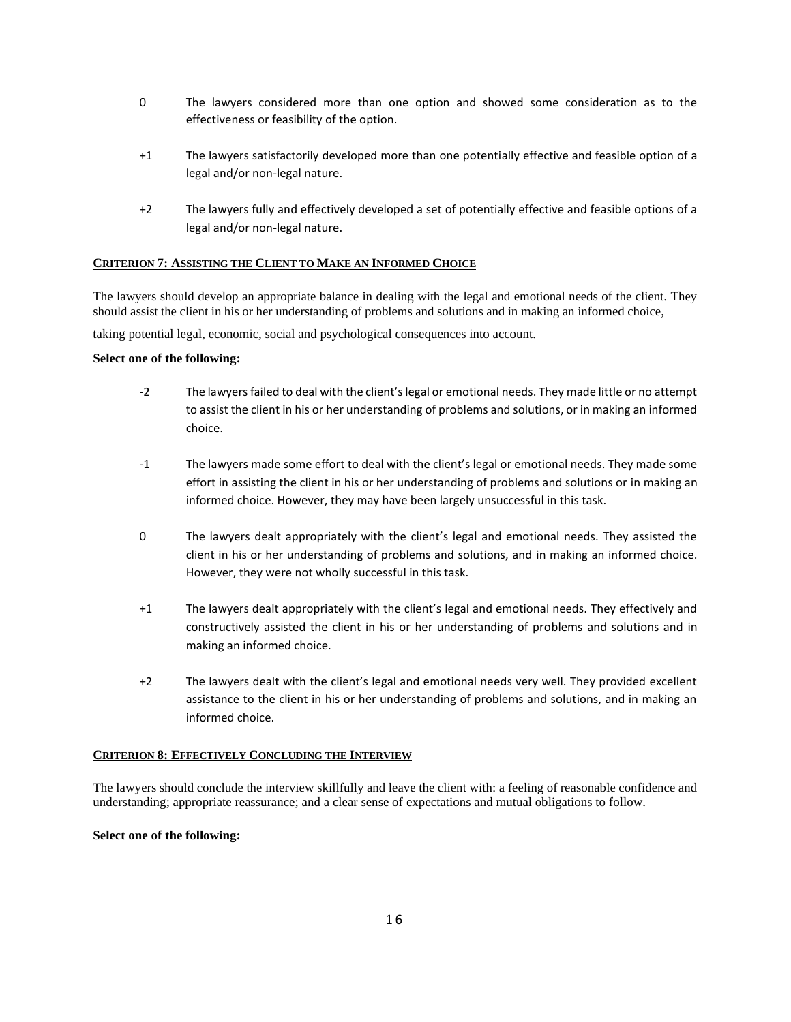- 0 The lawyers considered more than one option and showed some consideration as to the effectiveness or feasibility of the option.
- +1 The lawyers satisfactorily developed more than one potentially effective and feasible option of a legal and/or non-legal nature.
- +2 The lawyers fully and effectively developed a set of potentially effective and feasible options of a legal and/or non-legal nature.

## **CRITERION 7: ASSISTING THE CLIENT TO MAKE AN INFORMED CHOICE**

The lawyers should develop an appropriate balance in dealing with the legal and emotional needs of the client. They should assist the client in his or her understanding of problems and solutions and in making an informed choice,

taking potential legal, economic, social and psychological consequences into account.

## **Select one of the following:**

- -2 The lawyers failed to deal with the client's legal or emotional needs. They made little or no attempt to assist the client in his or her understanding of problems and solutions, or in making an informed choice.
- -1 The lawyers made some effort to deal with the client's legal or emotional needs. They made some effort in assisting the client in his or her understanding of problems and solutions or in making an informed choice. However, they may have been largely unsuccessful in this task.
- 0 The lawyers dealt appropriately with the client's legal and emotional needs. They assisted the client in his or her understanding of problems and solutions, and in making an informed choice. However, they were not wholly successful in this task.
- +1 The lawyers dealt appropriately with the client's legal and emotional needs. They effectively and constructively assisted the client in his or her understanding of problems and solutions and in making an informed choice.
- +2 The lawyers dealt with the client's legal and emotional needs very well. They provided excellent assistance to the client in his or her understanding of problems and solutions, and in making an informed choice.

## **CRITERION 8: EFFECTIVELY CONCLUDING THE INTERVIEW**

The lawyers should conclude the interview skillfully and leave the client with: a feeling of reasonable confidence and understanding; appropriate reassurance; and a clear sense of expectations and mutual obligations to follow.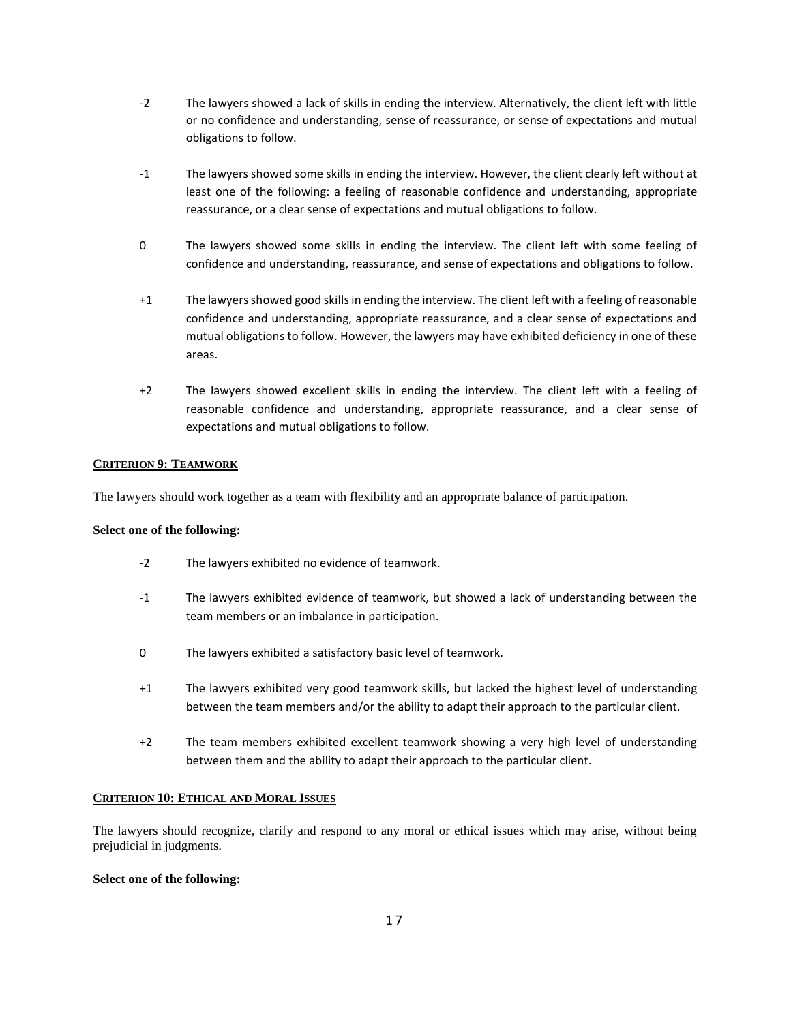- -2 The lawyers showed a lack of skills in ending the interview. Alternatively, the client left with little or no confidence and understanding, sense of reassurance, or sense of expectations and mutual obligations to follow.
- -1 The lawyers showed some skills in ending the interview. However, the client clearly left without at least one of the following: a feeling of reasonable confidence and understanding, appropriate reassurance, or a clear sense of expectations and mutual obligations to follow.
- 0 The lawyers showed some skills in ending the interview. The client left with some feeling of confidence and understanding, reassurance, and sense of expectations and obligations to follow.
- +1 The lawyers showed good skills in ending the interview. The client left with a feeling of reasonable confidence and understanding, appropriate reassurance, and a clear sense of expectations and mutual obligations to follow. However, the lawyers may have exhibited deficiency in one of these areas.
- +2 The lawyers showed excellent skills in ending the interview. The client left with a feeling of reasonable confidence and understanding, appropriate reassurance, and a clear sense of expectations and mutual obligations to follow.

## **CRITERION 9: TEAMWORK**

The lawyers should work together as a team with flexibility and an appropriate balance of participation.

## **Select one of the following:**

- -2 The lawyers exhibited no evidence of teamwork.
- -1 The lawyers exhibited evidence of teamwork, but showed a lack of understanding between the team members or an imbalance in participation.
- 0 The lawyers exhibited a satisfactory basic level of teamwork.
- +1 The lawyers exhibited very good teamwork skills, but lacked the highest level of understanding between the team members and/or the ability to adapt their approach to the particular client.
- +2 The team members exhibited excellent teamwork showing a very high level of understanding between them and the ability to adapt their approach to the particular client.

## **CRITERION 10: ETHICAL AND MORAL ISSUES**

The lawyers should recognize, clarify and respond to any moral or ethical issues which may arise, without being prejudicial in judgments.